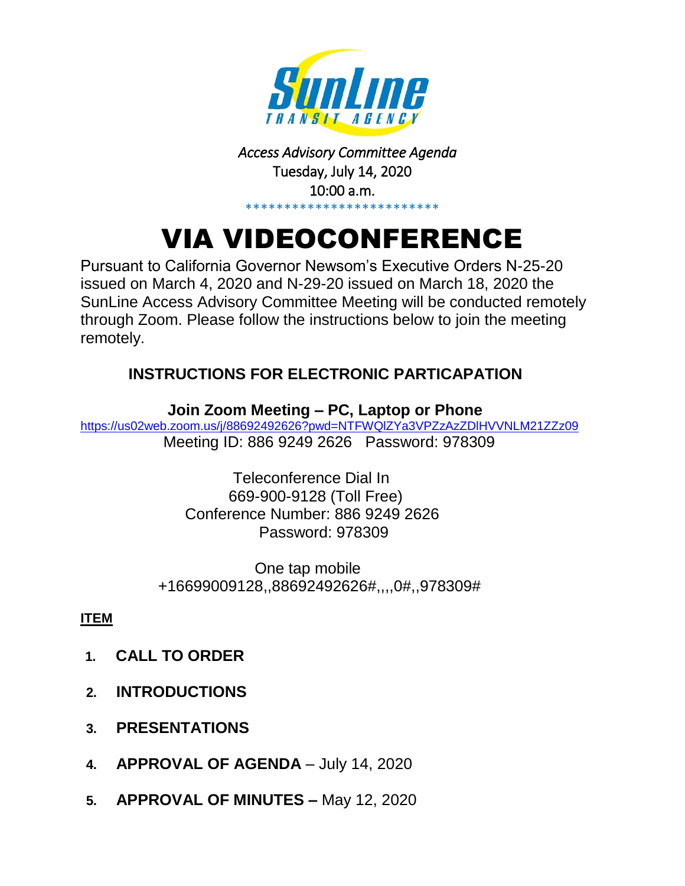

#### *Access Advisory Committee Agenda*  Tuesday, July 14, 2020 10:00 a.m. \*\*\*\*\*\*\*\*\*\*\*\*\*\*\*\*\*\*\*\*\*\*\*\*\*

# VIA VIDEOCONFERENCE

Pursuant to California Governor Newsom's Executive Orders N-25-20 issued on March 4, 2020 and N-29-20 issued on March 18, 2020 the SunLine Access Advisory Committee Meeting will be conducted remotely through Zoom. Please follow the instructions below to join the meeting remotely.

## **INSTRUCTIONS FOR ELECTRONIC PARTICAPATION**

 **Join Zoom Meeting – PC, Laptop or Phone** <https://us02web.zoom.us/j/88692492626?pwd=NTFWQlZYa3VPZzAzZDlHVVNLM21ZZz09> Meeting ID: 886 9249 2626 Password: 978309

> Teleconference Dial In 669-900-9128 (Toll Free) Conference Number: 886 9249 2626 Password: 978309

One tap mobile +16699009128,,88692492626#,,,,0#,,978309#

### **ITEM**

- **1. CALL TO ORDER**
- **2. INTRODUCTIONS**
- **3. PRESENTATIONS**
- **4. APPROVAL OF AGENDA** July 14, 2020
- **5. APPROVAL OF MINUTES –** May 12, 2020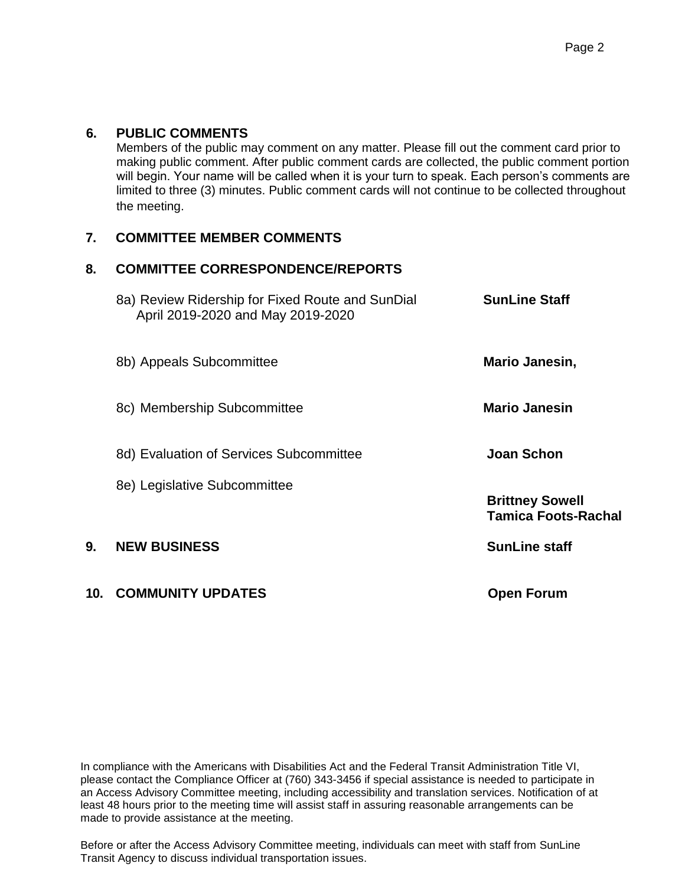#### **6. PUBLIC COMMENTS**

Members of the public may comment on any matter. Please fill out the comment card prior to making public comment. After public comment cards are collected, the public comment portion will begin. Your name will be called when it is your turn to speak. Each person's comments are limited to three (3) minutes. Public comment cards will not continue to be collected throughout the meeting.

#### **7. COMMITTEE MEMBER COMMENTS**

#### **8. COMMITTEE CORRESPONDENCE/REPORTS**

|     | 8a) Review Ridership for Fixed Route and SunDial<br>April 2019-2020 and May 2019-2020 | <b>SunLine Staff</b>                                 |
|-----|---------------------------------------------------------------------------------------|------------------------------------------------------|
|     | 8b) Appeals Subcommittee                                                              | Mario Janesin,                                       |
|     | 8c) Membership Subcommittee                                                           | <b>Mario Janesin</b>                                 |
|     | 8d) Evaluation of Services Subcommittee                                               | Joan Schon                                           |
|     | 8e) Legislative Subcommittee                                                          | <b>Brittney Sowell</b><br><b>Tamica Foots-Rachal</b> |
| 9.  | <b>NEW BUSINESS</b>                                                                   | <b>SunLine staff</b>                                 |
| 10. | <b>COMMUNITY UPDATES</b>                                                              | <b>Open Forum</b>                                    |

In compliance with the Americans with Disabilities Act and the Federal Transit Administration Title VI, please contact the Compliance Officer at (760) 343-3456 if special assistance is needed to participate in an Access Advisory Committee meeting, including accessibility and translation services. Notification of at least 48 hours prior to the meeting time will assist staff in assuring reasonable arrangements can be made to provide assistance at the meeting.

Before or after the Access Advisory Committee meeting, individuals can meet with staff from SunLine Transit Agency to discuss individual transportation issues.